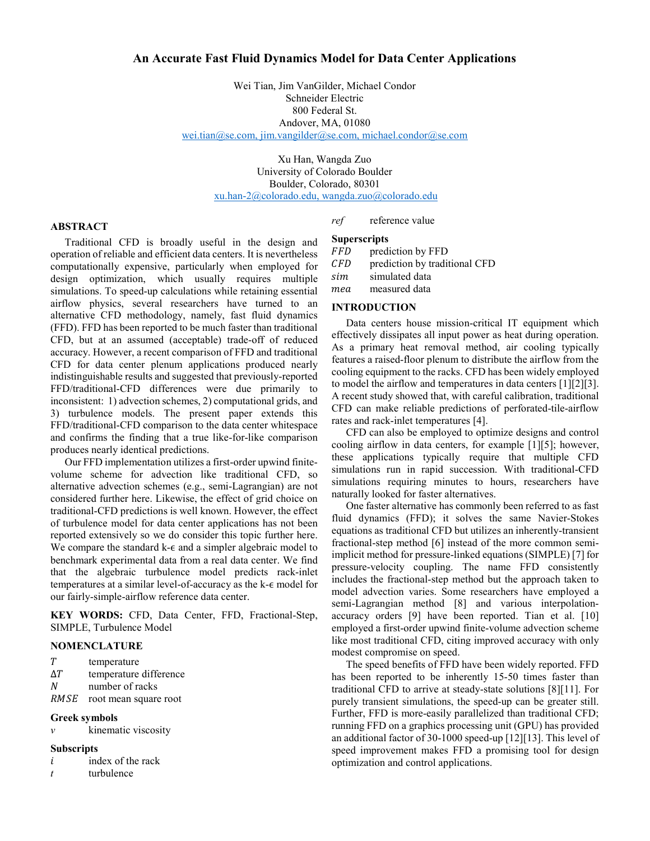### An Accurate Fast Fluid Dynamics Model for Data Center Applications

Wei Tian, Jim VanGilder, Michael Condor Schneider Electric 800 Federal St. Andover, MA, 01080 wei.tian@se.com, jim.vangilder@se.com, michael.condor@se.com

> Xu Han, Wangda Zuo University of Colorado Boulder Boulder, Colorado, 80301 xu.han-2@colorado.edu, wangda.zuo@colorado.edu

#### ABSTRACT

Traditional CFD is broadly useful in the design and operation of reliable and efficient data centers. It is nevertheless computationally expensive, particularly when employed for design optimization, which usually requires multiple simulations. To speed-up calculations while retaining essential airflow physics, several researchers have turned to an alternative CFD methodology, namely, fast fluid dynamics (FFD). FFD has been reported to be much faster than traditional CFD, but at an assumed (acceptable) trade-off of reduced accuracy. However, a recent comparison of FFD and traditional CFD for data center plenum applications produced nearly indistinguishable results and suggested that previously-reported FFD/traditional-CFD differences were due primarily to inconsistent: 1) advection schemes, 2) computational grids, and 3) turbulence models. The present paper extends this FFD/traditional-CFD comparison to the data center whitespace and confirms the finding that a true like-for-like comparison produces nearly identical predictions.

Our FFD implementation utilizes a first-order upwind finitevolume scheme for advection like traditional CFD, so alternative advection schemes (e.g., semi-Lagrangian) are not considered further here. Likewise, the effect of grid choice on traditional-CFD predictions is well known. However, the effect of turbulence model for data center applications has not been reported extensively so we do consider this topic further here. We compare the standard k- $∈$  and a simpler algebraic model to benchmark experimental data from a real data center. We find that the algebraic turbulence model predicts rack-inlet temperatures at a similar level-of-accuracy as the k-ϵ model for our fairly-simple-airflow reference data center.

KEY WORDS: CFD, Data Center, FFD, Fractional-Step, SIMPLE, Turbulence Model

#### NOMENCLATURE

- T temperature
- $\Delta T$  temperature difference
- N number of racks
- RMSE root mean square root

### Greek symbols

ν kinematic viscosity

#### **Subscripts**

- $i$  index of the rack
- $t$  turbulence

# ref reference value

### **Superscripts**

FFD prediction by FFD prediction by traditional CFD sim simulated data

mea measured data

### INTRODUCTION

Data centers house mission-critical IT equipment which effectively dissipates all input power as heat during operation. As a primary heat removal method, air cooling typically features a raised-floor plenum to distribute the airflow from the cooling equipment to the racks. CFD has been widely employed to model the airflow and temperatures in data centers [1][2][3]. A recent study showed that, with careful calibration, traditional CFD can make reliable predictions of perforated-tile-airflow rates and rack-inlet temperatures [4].

CFD can also be employed to optimize designs and control cooling airflow in data centers, for example [1][5]; however, these applications typically require that multiple CFD simulations run in rapid succession. With traditional-CFD simulations requiring minutes to hours, researchers have naturally looked for faster alternatives.

One faster alternative has commonly been referred to as fast fluid dynamics (FFD); it solves the same Navier-Stokes equations as traditional CFD but utilizes an inherently-transient fractional-step method [6] instead of the more common semiimplicit method for pressure-linked equations (SIMPLE) [7] for pressure-velocity coupling. The name FFD consistently includes the fractional-step method but the approach taken to model advection varies. Some researchers have employed a semi-Lagrangian method [8] and various interpolationaccuracy orders [9] have been reported. Tian et al. [10] employed a first-order upwind finite-volume advection scheme like most traditional CFD, citing improved accuracy with only modest compromise on speed.

The speed benefits of FFD have been widely reported. FFD has been reported to be inherently 15-50 times faster than traditional CFD to arrive at steady-state solutions [8][11]. For purely transient simulations, the speed-up can be greater still. Further, FFD is more-easily parallelized than traditional CFD; running FFD on a graphics processing unit (GPU) has provided an additional factor of 30-1000 speed-up [12][13]. This level of speed improvement makes FFD a promising tool for design optimization and control applications.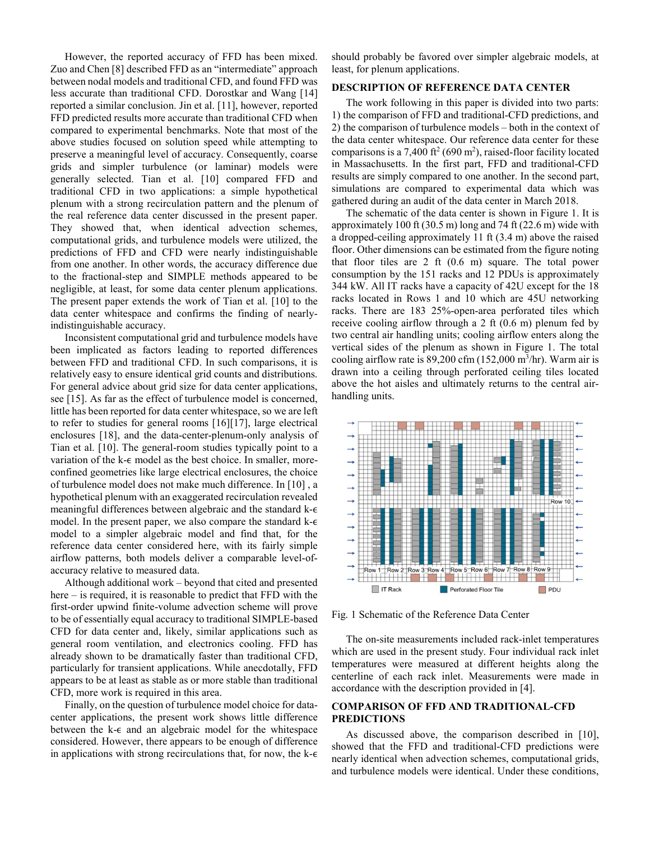However, the reported accuracy of FFD has been mixed. Zuo and Chen [8] described FFD as an "intermediate" approach between nodal models and traditional CFD, and found FFD was less accurate than traditional CFD. Dorostkar and Wang [14] reported a similar conclusion. Jin et al. [11], however, reported FFD predicted results more accurate than traditional CFD when compared to experimental benchmarks. Note that most of the above studies focused on solution speed while attempting to preserve a meaningful level of accuracy. Consequently, coarse grids and simpler turbulence (or laminar) models were generally selected. Tian et al. [10] compared FFD and traditional CFD in two applications: a simple hypothetical plenum with a strong recirculation pattern and the plenum of the real reference data center discussed in the present paper. They showed that, when identical advection schemes, computational grids, and turbulence models were utilized, the predictions of FFD and CFD were nearly indistinguishable from one another. In other words, the accuracy difference due to the fractional-step and SIMPLE methods appeared to be negligible, at least, for some data center plenum applications. The present paper extends the work of Tian et al. [10] to the data center whitespace and confirms the finding of nearlyindistinguishable accuracy.

Inconsistent computational grid and turbulence models have been implicated as factors leading to reported differences between FFD and traditional CFD. In such comparisons, it is relatively easy to ensure identical grid counts and distributions. For general advice about grid size for data center applications, see [15]. As far as the effect of turbulence model is concerned, little has been reported for data center whitespace, so we are left to refer to studies for general rooms [16][17], large electrical enclosures [18], and the data-center-plenum-only analysis of Tian et al. [10]. The general-room studies typically point to a variation of the k-∈ model as the best choice. In smaller, moreconfined geometries like large electrical enclosures, the choice of turbulence model does not make much difference. In [10] , a hypothetical plenum with an exaggerated recirculation revealed meaningful differences between algebraic and the standard k-∈ model. In the present paper, we also compare the standard  $k-\epsilon$ model to a simpler algebraic model and find that, for the reference data center considered here, with its fairly simple airflow patterns, both models deliver a comparable level-ofaccuracy relative to measured data.

Although additional work – beyond that cited and presented here – is required, it is reasonable to predict that FFD with the first-order upwind finite-volume advection scheme will prove to be of essentially equal accuracy to traditional SIMPLE-based CFD for data center and, likely, similar applications such as general room ventilation, and electronics cooling. FFD has already shown to be dramatically faster than traditional CFD, particularly for transient applications. While anecdotally, FFD appears to be at least as stable as or more stable than traditional CFD, more work is required in this area.

Finally, on the question of turbulence model choice for datacenter applications, the present work shows little difference between the  $k$ - $\epsilon$  and an algebraic model for the whitespace considered. However, there appears to be enough of difference in applications with strong recirculations that, for now, the  $k$ - $\epsilon$  should probably be favored over simpler algebraic models, at least, for plenum applications.

# DESCRIPTION OF REFERENCE DATA CENTER

The work following in this paper is divided into two parts: 1) the comparison of FFD and traditional-CFD predictions, and 2) the comparison of turbulence models – both in the context of the data center whitespace. Our reference data center for these comparisons is a 7,400 ft<sup>2</sup> (690 m<sup>2</sup>), raised-floor facility located in Massachusetts. In the first part, FFD and traditional-CFD results are simply compared to one another. In the second part, simulations are compared to experimental data which was gathered during an audit of the data center in March 2018.

The schematic of the data center is shown in Figure 1. It is approximately 100 ft (30.5 m) long and 74 ft (22.6 m) wide with a dropped-ceiling approximately 11 ft (3.4 m) above the raised floor. Other dimensions can be estimated from the figure noting that floor tiles are 2 ft (0.6 m) square. The total power consumption by the 151 racks and 12 PDUs is approximately 344 kW. All IT racks have a capacity of 42U except for the 18 racks located in Rows 1 and 10 which are 45U networking racks. There are 183 25%-open-area perforated tiles which receive cooling airflow through a 2 ft (0.6 m) plenum fed by two central air handling units; cooling airflow enters along the vertical sides of the plenum as shown in Figure 1. The total cooling airflow rate is 89,200 cfm (152,000 m<sup>3</sup> /hr). Warm air is drawn into a ceiling through perforated ceiling tiles located above the hot aisles and ultimately returns to the central airhandling units.



Fig. 1 Schematic of the Reference Data Center

The on-site measurements included rack-inlet temperatures which are used in the present study. Four individual rack inlet temperatures were measured at different heights along the centerline of each rack inlet. Measurements were made in accordance with the description provided in [4].

### COMPARISON OF FFD AND TRADITIONAL-CFD PREDICTIONS

As discussed above, the comparison described in [10], showed that the FFD and traditional-CFD predictions were nearly identical when advection schemes, computational grids, and turbulence models were identical. Under these conditions,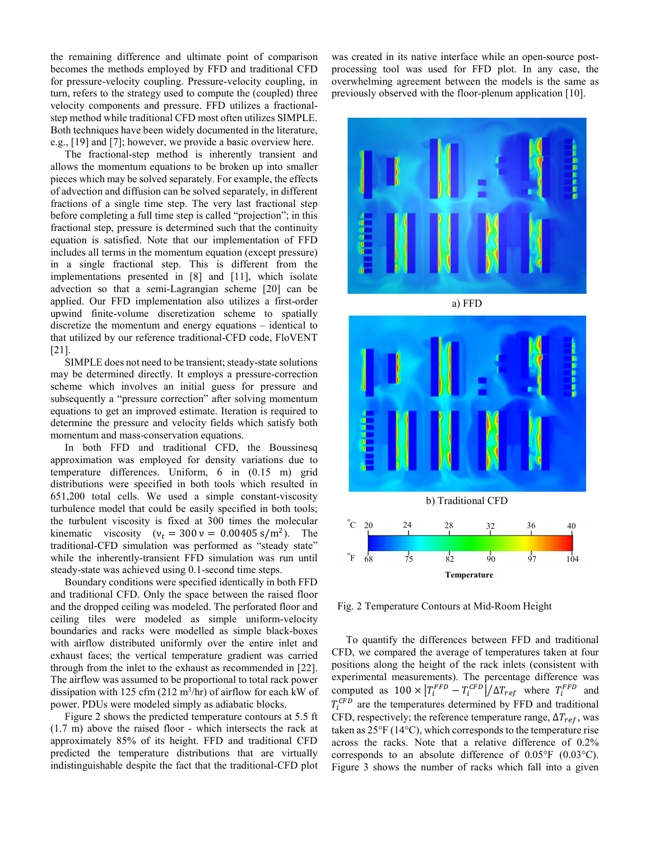the remaining difference and ultimate point of comparison becomes the methods employed by FFD and traditional CFD for pressure-velocity coupling. Pressure-velocity coupling, in turn, refers to the strategy used to compute the (coupled) three velocity components and pressure. FFD utilizes a fractionalstep method while traditional CFD most often utilizes SIMPLE. Both techniques have been widely documented in the literature, e.g., [19] and [7]; however, we provide a basic overview here.

The fractional-step method is inherently transient and allows the momentum equations to be broken up into smaller pieces which may be solved separately. For example, the effects of advection and diffusion can be solved separately, in different fractions of a single time step. The very last fractional step before completing a full time step is called "projection"; in this fractional step, pressure is determined such that the continuity equation is satisfied. Note that our implementation of FFD includes all terms in the momentum equation (except pressure) in a single fractional step. This is different from the implementations presented in [8] and [11], which isolate advection so that a semi-Lagrangian scheme [20] can be applied. Our FFD implementation also utilizes a first-order upwind finite-volume discretization scheme to spatially discretize the momentum and energy equations – identical to that utilized by our reference traditional-CFD code, FloVENT [21].

SIMPLE does not need to be transient; steady-state solutions may be determined directly. It employs a pressure-correction scheme which involves an initial guess for pressure and subsequently a "pressure correction" after solving momentum equations to get an improved estimate. Iteration is required to determine the pressure and velocity fields which satisfy both momentum and mass-conservation equations.

In both FFD and traditional CFD, the Boussinesq approximation was employed for density variations due to temperature differences. Uniform, 6 in (0.15 m) grid distributions were specified in both tools which resulted in 651,200 total cells. We used a simple constant-viscosity turbulence model that could be easily specified in both tools; the turbulent viscosity is fixed at 300 times the molecular kinematic viscosity  $(v_t = 300 \text{ v} = 0.00405 \text{ s/m}^2)$ . The traditional-CFD simulation was performed as "steady state" while the inherently-transient FFD simulation was run until steady-state was achieved using 0.1-second time steps.

Boundary conditions were specified identically in both FFD and traditional CFD. Only the space between the raised floor and the dropped ceiling was modeled. The perforated floor and ceiling tiles were modeled as simple uniform-velocity boundaries and racks were modelled as simple black-boxes with airflow distributed uniformly over the entire inlet and exhaust faces; the vertical temperature gradient was carried through from the inlet to the exhaust as recommended in [22]. The airflow was assumed to be proportional to total rack power dissipation with 125 cfm (212 m<sup>3</sup>/hr) of airflow for each kW of power. PDUs were modeled simply as adiabatic blocks.

Figure 2 shows the predicted temperature contours at 5.5 ft (1.7 m) above the raised floor - which intersects the rack at approximately 85% of its height. FFD and traditional CFD predicted the temperature distributions that are virtually indistinguishable despite the fact that the traditional-CFD plot was created in its native interface while an open-source postprocessing tool was used for FFD plot. In any case, the overwhelming agreement between the models is the same as previously observed with the floor-plenum application [10].







Fig. 2 Temperature Contours at Mid-Room Height

To quantify the differences between FFD and traditional CFD, we compared the average of temperatures taken at four positions along the height of the rack inlets (consistent with experimental measurements). The percentage difference was computed as  $100 \times |T_i^{FFD} - T_i^{CFD}| / \Delta T_{ref}$  where  $T_i^{FFD}$  and  $T_i^{CFD}$  are the temperatures determined by FFD and traditional CFD, respectively; the reference temperature range,  $\Delta T_{ref}$ , was taken as 25°F (14°C), which corresponds to the temperature rise across the racks. Note that a relative difference of 0.2% corresponds to an absolute difference of 0.05°F (0.03°C). Figure 3 shows the number of racks which fall into a given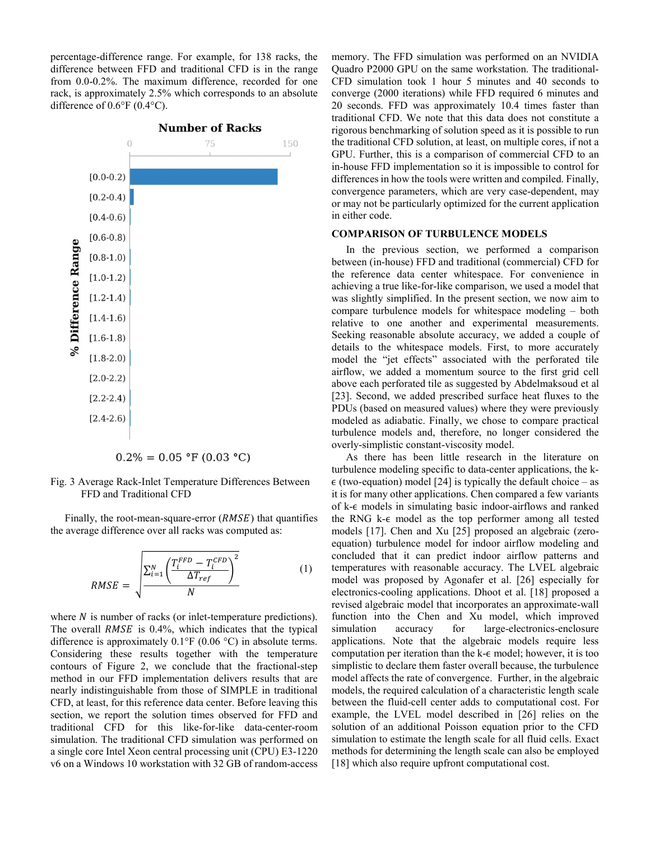percentage-difference range. For example, for 138 racks, the difference between FFD and traditional CFD is in the range from 0.0-0.2%. The maximum difference, recorded for one rack, is approximately 2.5% which corresponds to an absolute difference of 0.6°F (0.4°C).



### **Number of Racks**



Fig. 3 Average Rack-Inlet Temperature Differences Between FFD and Traditional CFD

Finally, the root-mean-square-error  $(RMSE)$  that quantifies the average difference over all racks was computed as:

$$
RMSE = \sqrt{\frac{\sum_{i=1}^{N} \left( \frac{T_i^{FFD} - T_i^{CFD}}{\Delta T_{ref}} \right)^2}{N}}
$$
(1)

where  $N$  is number of racks (or inlet-temperature predictions). The overall  $RMSE$  is 0.4%, which indicates that the typical difference is approximately 0.1°F (0.06 °C) in absolute terms. Considering these results together with the temperature contours of Figure 2, we conclude that the fractional-step method in our FFD implementation delivers results that are nearly indistinguishable from those of SIMPLE in traditional CFD, at least, for this reference data center. Before leaving this section, we report the solution times observed for FFD and traditional CFD for this like-for-like data-center-room simulation. The traditional CFD simulation was performed on a single core Intel Xeon central processing unit (CPU) E3-1220 v6 on a Windows 10 workstation with 32 GB of random-access memory. The FFD simulation was performed on an NVIDIA Quadro P2000 GPU on the same workstation. The traditional-CFD simulation took 1 hour 5 minutes and 40 seconds to converge (2000 iterations) while FFD required 6 minutes and 20 seconds. FFD was approximately 10.4 times faster than traditional CFD. We note that this data does not constitute a rigorous benchmarking of solution speed as it is possible to run the traditional CFD solution, at least, on multiple cores, if not a GPU. Further, this is a comparison of commercial CFD to an in-house FFD implementation so it is impossible to control for differences in how the tools were written and compiled. Finally, convergence parameters, which are very case-dependent, may or may not be particularly optimized for the current application in either code.

### COMPARISON OF TURBULENCE MODELS

In the previous section, we performed a comparison between (in-house) FFD and traditional (commercial) CFD for the reference data center whitespace. For convenience in achieving a true like-for-like comparison, we used a model that was slightly simplified. In the present section, we now aim to compare turbulence models for whitespace modeling – both relative to one another and experimental measurements. Seeking reasonable absolute accuracy, we added a couple of details to the whitespace models. First, to more accurately model the "jet effects" associated with the perforated tile airflow, we added a momentum source to the first grid cell above each perforated tile as suggested by Abdelmaksoud et al [23]. Second, we added prescribed surface heat fluxes to the PDUs (based on measured values) where they were previously modeled as adiabatic. Finally, we chose to compare practical turbulence models and, therefore, no longer considered the overly-simplistic constant-viscosity model.

As there has been little research in the literature on turbulence modeling specific to data-center applications, the k- $\epsilon$  (two-equation) model [24] is typically the default choice – as it is for many other applications. Chen compared a few variants of k-ϵ models in simulating basic indoor-airflows and ranked the RNG k-ϵ model as the top performer among all tested models [17]. Chen and Xu [25] proposed an algebraic (zeroequation) turbulence model for indoor airflow modeling and concluded that it can predict indoor airflow patterns and temperatures with reasonable accuracy. The LVEL algebraic model was proposed by Agonafer et al. [26] especially for electronics-cooling applications. Dhoot et al. [18] proposed a revised algebraic model that incorporates an approximate-wall function into the Chen and Xu model, which improved simulation accuracy for large-electronics-enclosure applications. Note that the algebraic models require less computation per iteration than the k- $∈$  model; however, it is too simplistic to declare them faster overall because, the turbulence model affects the rate of convergence. Further, in the algebraic models, the required calculation of a characteristic length scale between the fluid-cell center adds to computational cost. For example, the LVEL model described in [26] relies on the solution of an additional Poisson equation prior to the CFD simulation to estimate the length scale for all fluid cells. Exact methods for determining the length scale can also be employed [18] which also require upfront computational cost.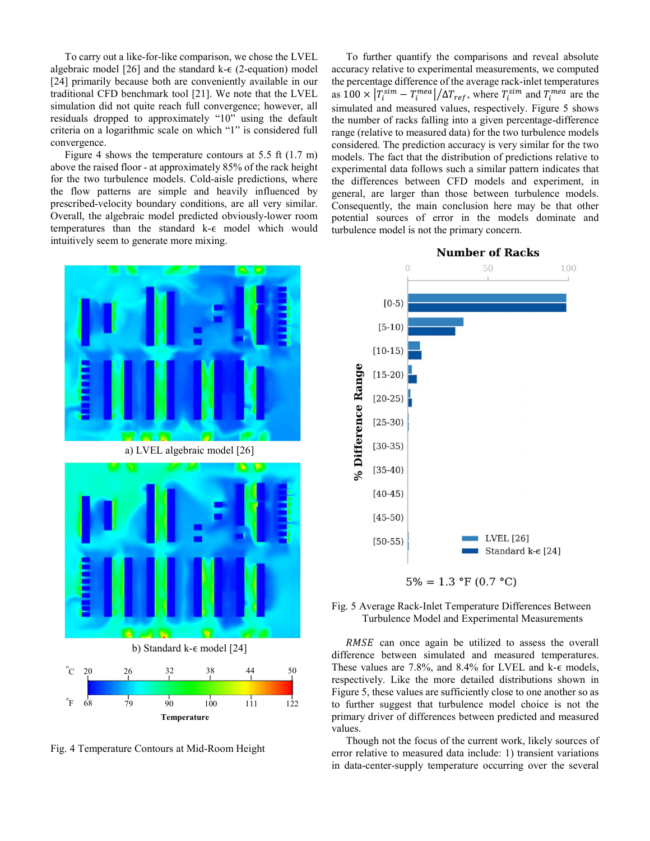To carry out a like-for-like comparison, we chose the LVEL algebraic model  $[26]$  and the standard k- $\epsilon$  (2-equation) model [24] primarily because both are conveniently available in our traditional CFD benchmark tool [21]. We note that the LVEL simulation did not quite reach full convergence; however, all residuals dropped to approximately "10" using the default criteria on a logarithmic scale on which "1" is considered full convergence.

Figure 4 shows the temperature contours at 5.5 ft (1.7 m) above the raised floor - at approximately 85% of the rack height for the two turbulence models. Cold-aisle predictions, where the flow patterns are simple and heavily influenced by prescribed-velocity boundary conditions, are all very similar. Overall, the algebraic model predicted obviously-lower room temperatures than the standard k-ϵ model which would intuitively seem to generate more mixing.

To further quantify the comparisons and reveal absolute accuracy relative to experimental measurements, we computed the percentage difference of the average rack-inlet temperatures as  $100 \times |T_i^{\text{sim}} - T_i^{\text{mea}}| / \Delta T_{ref}$ , where  $T_i^{\text{sim}}$  and  $T_i^{\text{mea}}$  are the simulated and measured values, respectively. Figure 5 shows the number of racks falling into a given percentage-difference range (relative to measured data) for the two turbulence models considered. The prediction accuracy is very similar for the two models. The fact that the distribution of predictions relative to experimental data follows such a similar pattern indicates that the differences between CFD models and experiment, in general, are larger than those between turbulence models. Consequently, the main conclusion here may be that other potential sources of error in the models dominate and turbulence model is not the primary concern.



Fig. 4 Temperature Contours at Mid-Room Height

#### **Number of Racks**



Fig. 5 Average Rack-Inlet Temperature Differences Between Turbulence Model and Experimental Measurements

RMSE can once again be utilized to assess the overall difference between simulated and measured temperatures.  $^{\circ}$ C 20 26 32 38 44 50 These values are 7.8%, and 8.4% for LVEL and k- $\epsilon$  models, respectively. Like the more detailed distributions shown in Figure 5, these values are sufficiently close to one another so as  $\frac{68}{79}$  90 100 111 122 to further suggest that turbulence model choice is not the primary driver of differences between predicted and measured values.

> Though not the focus of the current work, likely sources of error relative to measured data include: 1) transient variations in data-center-supply temperature occurring over the several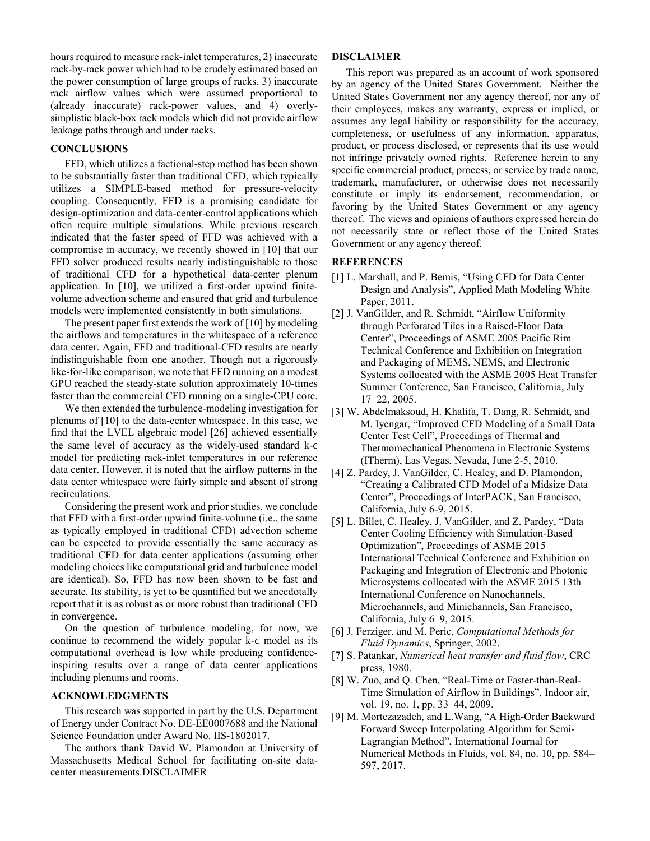hours required to measure rack-inlet temperatures, 2) inaccurate rack-by-rack power which had to be crudely estimated based on the power consumption of large groups of racks, 3) inaccurate rack airflow values which were assumed proportional to (already inaccurate) rack-power values, and 4) overlysimplistic black-box rack models which did not provide airflow leakage paths through and under racks.

### **CONCLUSIONS**

FFD, which utilizes a factional-step method has been shown to be substantially faster than traditional CFD, which typically utilizes a SIMPLE-based method for pressure-velocity coupling. Consequently, FFD is a promising candidate for design-optimization and data-center-control applications which often require multiple simulations. While previous research indicated that the faster speed of FFD was achieved with a compromise in accuracy, we recently showed in [10] that our FFD solver produced results nearly indistinguishable to those of traditional CFD for a hypothetical data-center plenum application. In [10], we utilized a first-order upwind finitevolume advection scheme and ensured that grid and turbulence models were implemented consistently in both simulations.

The present paper first extends the work of [10] by modeling the airflows and temperatures in the whitespace of a reference data center. Again, FFD and traditional-CFD results are nearly indistinguishable from one another. Though not a rigorously like-for-like comparison, we note that FFD running on a modest GPU reached the steady-state solution approximately 10-times faster than the commercial CFD running on a single-CPU core.

We then extended the turbulence-modeling investigation for plenums of [10] to the data-center whitespace. In this case, we find that the LVEL algebraic model [26] achieved essentially the same level of accuracy as the widely-used standard  $k - \epsilon$ model for predicting rack-inlet temperatures in our reference data center. However, it is noted that the airflow patterns in the data center whitespace were fairly simple and absent of strong recirculations.

Considering the present work and prior studies, we conclude that FFD with a first-order upwind finite-volume (i.e., the same as typically employed in traditional CFD) advection scheme can be expected to provide essentially the same accuracy as traditional CFD for data center applications (assuming other modeling choices like computational grid and turbulence model are identical). So, FFD has now been shown to be fast and accurate. Its stability, is yet to be quantified but we anecdotally report that it is as robust as or more robust than traditional CFD in convergence.

On the question of turbulence modeling, for now, we continue to recommend the widely popular k-€ model as its computational overhead is low while producing confidenceinspiring results over a range of data center applications including plenums and rooms.

# ACKNOWLEDGMENTS

This research was supported in part by the U.S. Department of Energy under Contract No. DE-EE0007688 and the National Science Foundation under Award No. IIS-1802017.

The authors thank David W. Plamondon at University of Massachusetts Medical School for facilitating on-site datacenter measurements.DISCLAIMER

### DISCLAIMER

This report was prepared as an account of work sponsored by an agency of the United States Government. Neither the United States Government nor any agency thereof, nor any of their employees, makes any warranty, express or implied, or assumes any legal liability or responsibility for the accuracy, completeness, or usefulness of any information, apparatus, product, or process disclosed, or represents that its use would not infringe privately owned rights. Reference herein to any specific commercial product, process, or service by trade name, trademark, manufacturer, or otherwise does not necessarily constitute or imply its endorsement, recommendation, or favoring by the United States Government or any agency thereof. The views and opinions of authors expressed herein do not necessarily state or reflect those of the United States Government or any agency thereof.

### **REFERENCES**

- [1] L. Marshall, and P. Bemis, "Using CFD for Data Center Design and Analysis", Applied Math Modeling White Paper, 2011.
- [2] J. VanGilder, and R. Schmidt, "Airflow Uniformity through Perforated Tiles in a Raised-Floor Data Center", Proceedings of ASME 2005 Pacific Rim Technical Conference and Exhibition on Integration and Packaging of MEMS, NEMS, and Electronic Systems collocated with the ASME 2005 Heat Transfer Summer Conference, San Francisco, California, July 17–22, 2005.
- [3] W. Abdelmaksoud, H. Khalifa, T. Dang, R. Schmidt, and M. Iyengar, "Improved CFD Modeling of a Small Data Center Test Cell", Proceedings of Thermal and Thermomechanical Phenomena in Electronic Systems (ITherm), Las Vegas, Nevada, June 2-5, 2010.
- [4] Z. Pardey, J. VanGilder, C. Healey, and D. Plamondon, "Creating a Calibrated CFD Model of a Midsize Data Center", Proceedings of InterPACK, San Francisco, California, July 6-9, 2015.
- [5] L. Billet, C. Healey, J. VanGilder, and Z. Pardey, "Data Center Cooling Efficiency with Simulation-Based Optimization", Proceedings of ASME 2015 International Technical Conference and Exhibition on Packaging and Integration of Electronic and Photonic Microsystems collocated with the ASME 2015 13th International Conference on Nanochannels, Microchannels, and Minichannels, San Francisco, California, July 6–9, 2015.
- [6] J. Ferziger, and M. Peric, Computational Methods for Fluid Dynamics, Springer, 2002.
- [7] S. Patankar, Numerical heat transfer and fluid flow, CRC press, 1980.
- [8] W. Zuo, and Q. Chen, "Real-Time or Faster-than-Real-Time Simulation of Airflow in Buildings", Indoor air, vol. 19, no. 1, pp. 33–44, 2009.
- [9] M. Mortezazadeh, and L.Wang, "A High-Order Backward Forward Sweep Interpolating Algorithm for Semi-Lagrangian Method", International Journal for Numerical Methods in Fluids, vol. 84, no. 10, pp. 584– 597, 2017.